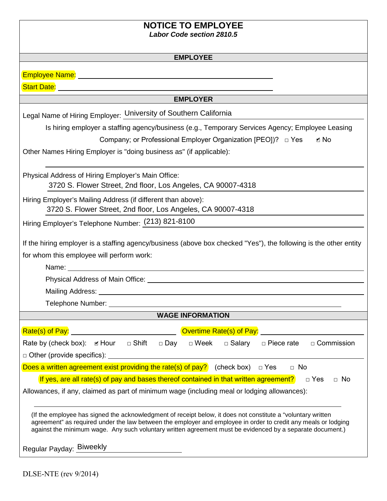# **NOTICE TO EMPLOYEE**

*Labor Code section 2810.5* 

#### **EMPLOYEE**

**Start Date:** 

#### **EMPLOYER**

Legal Name of Hiring Employer: University of Southern California

Is hiring employer a staffing agency/business (e.g., Temporary Services Agency; Employee Leasing

Company; or Professional Employer Organization [PEO])? □ Yes ✔

Other Names Hiring Employer is "doing business as" (if applicable):

Physical Address of Hiring Employer's Main Office: 3720 S. Flower Street, 2nd floor, Los Angeles, CA 90007-4318

Hiring Employer's Mailing Address (if different than above): 3720 S. Flower Street, 2nd floor, Los Angeles, CA 90007-4318

Hiring Employer's Telephone Number: (213) 821-8100

If the hiring employer is a staffing agency/business (above box checked "Yes"), the following is the other entity for whom this employee will perform work:

Name:

Physical Address of Main Office:

Mailing Address: \_\_\_

Telephone Number:

### **WAGE INFORMATION**

| Rate(s) of Pay:                                                                                                                                                                                                                                                                                                                               |  |              |            | Overtime Rate(s) of Pay: |               |                   |                   |
|-----------------------------------------------------------------------------------------------------------------------------------------------------------------------------------------------------------------------------------------------------------------------------------------------------------------------------------------------|--|--------------|------------|--------------------------|---------------|-------------------|-------------------|
| Rate by (check box): In Hour                                                                                                                                                                                                                                                                                                                  |  | $\Box$ Shift | $\Box$ Day | $\Box$ Week              | $\Box$ Salary | $\Box$ Piece rate | $\Box$ Commission |
| $\Box$ Other (provide specifics):                                                                                                                                                                                                                                                                                                             |  |              |            |                          |               |                   |                   |
| Does a written agreement exist providing the rate(s) of pay? (check box) $\Box$ Yes                                                                                                                                                                                                                                                           |  |              |            |                          |               | $\Box$ No         |                   |
| If yes, are all rate(s) of pay and bases thereof contained in that written agreement?<br>$\Box$ No<br>$\Box$ Yes                                                                                                                                                                                                                              |  |              |            |                          |               |                   |                   |
| Allowances, if any, claimed as part of minimum wage (including meal or lodging allowances):                                                                                                                                                                                                                                                   |  |              |            |                          |               |                   |                   |
| (If the employee has signed the acknowledgment of receipt below, it does not constitute a "voluntary written")<br>agreement" as required under the law between the employer and employee in order to credit any meals or lodging<br>against the minimum wage. Any such voluntary written agreement must be evidenced by a separate document.) |  |              |            |                          |               |                   |                   |
| Requiar Payday: Biweekly                                                                                                                                                                                                                                                                                                                      |  |              |            |                          |               |                   |                   |

Regular Payday: Biweekly